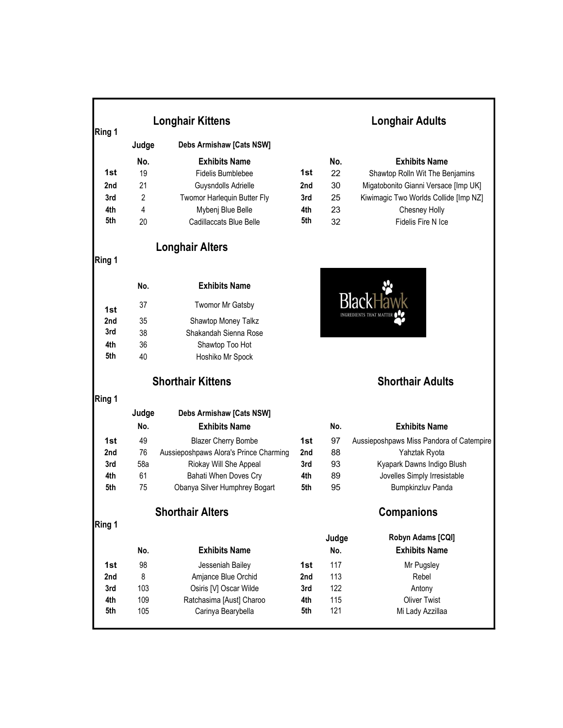| Ring 1 | <b>Longhair Kittens</b> |                                        |     | <b>Longhair Adults</b> |                                          |  |
|--------|-------------------------|----------------------------------------|-----|------------------------|------------------------------------------|--|
|        | Judge                   | Debs Armishaw [Cats NSW]               |     |                        |                                          |  |
|        | No.                     | <b>Exhibits Name</b>                   |     | No.                    | <b>Exhibits Name</b>                     |  |
| 1st    | 19                      | <b>Fidelis Bumblebee</b>               | 1st | 22                     | Shawtop Rolln Wit The Benjamins          |  |
| 2nd    | 21                      | Guysndolls Adrielle                    | 2nd | 30                     | Migatobonito Gianni Versace [Imp UK]     |  |
| 3rd    | $\overline{2}$          | Twomor Harlequin Butter Fly            | 3rd | 25                     | Kiwimagic Two Worlds Collide [Imp NZ]    |  |
| 4th    | 4                       | Mybenj Blue Belle                      | 4th | 23                     | Chesney Holly                            |  |
| 5th    | 20                      | Cadillaccats Blue Belle                | 5th | 32                     | Fidelis Fire N Ice                       |  |
|        |                         | <b>Longhair Alters</b>                 |     |                        |                                          |  |
| Ring 1 |                         |                                        |     |                        |                                          |  |
|        | No.                     | <b>Exhibits Name</b>                   |     |                        |                                          |  |
| 1st    | 37                      | Twomor Mr Gatsby                       |     |                        |                                          |  |
| 2nd    | 35                      | Shawtop Money Talkz                    |     |                        |                                          |  |
| 3rd    | 38                      | Shakandah Sienna Rose                  |     |                        |                                          |  |
| 4th    | 36                      | Shawtop Too Hot                        |     |                        |                                          |  |
| 5th    | 40                      | Hoshiko Mr Spock                       |     |                        |                                          |  |
|        |                         | <b>Shorthair Kittens</b>               |     |                        | <b>Shorthair Adults</b>                  |  |
| Ring 1 |                         |                                        |     |                        |                                          |  |
|        | Judge                   | Debs Armishaw [Cats NSW]               |     |                        |                                          |  |
|        | No.                     | <b>Exhibits Name</b>                   |     | No.                    | <b>Exhibits Name</b>                     |  |
| 1st    | 49                      | <b>Blazer Cherry Bombe</b>             | 1st | 97                     | Aussieposhpaws Miss Pandora of Catempire |  |
| 2nd    | 76                      | Aussieposhpaws Alora's Prince Charming | 2nd | 88                     | Yahztak Ryota                            |  |
| 3rd    | 58a                     | Riokay Will She Appeal                 | 3rd | 93                     | Kyapark Dawns Indigo Blush               |  |
| 4th    | 61                      | Bahati When Doves Cry                  | 4th | 89                     | Jovelles Simply Irresistable             |  |
| 5th    | 75                      | Obanya Silver Humphrey Bogart          | 5th | 95                     | <b>Bumpkinzluv Panda</b>                 |  |
|        |                         | <b>Shorthair Alters</b>                |     |                        | <b>Companions</b>                        |  |
| Ring 1 |                         |                                        |     |                        | Robyn Adams [CQI]                        |  |
|        | No.                     | <b>Exhibits Name</b>                   |     | Judge<br>No.           | <b>Exhibits Name</b>                     |  |
| 1st    | 98                      | Jesseniah Bailey                       | 1st | 117                    | Mr Pugsley                               |  |
| 2nd    | 8                       | Amjance Blue Orchid                    | 2nd | 113                    | Rebel                                    |  |
| 3rd    | 103                     | Osiris [V] Oscar Wilde                 | 3rd | 122                    | Antony                                   |  |
| 4th    | 109                     | Ratchasima [Aust] Charoo               | 4th | 115                    | <b>Oliver Twist</b>                      |  |
| 5th    | 105                     | Carinya Bearybella                     | 5th | 121                    | Mi Lady Azzillaa                         |  |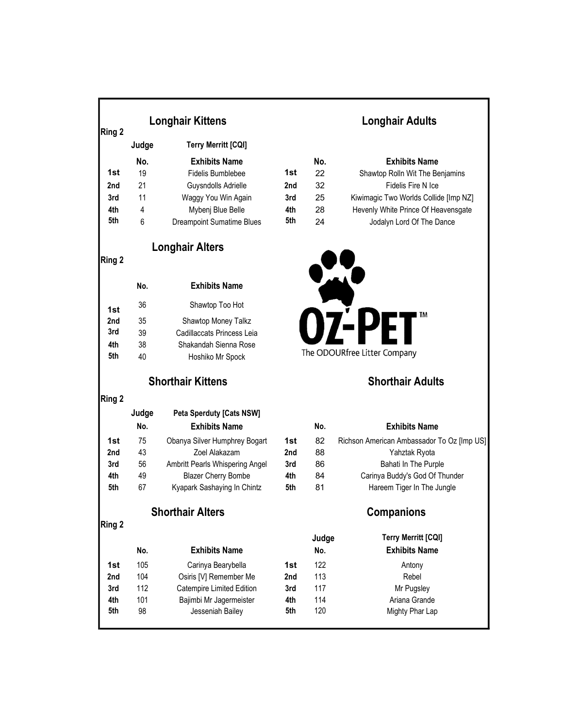| Ring 2 |       | <b>Longhair Kittens</b>          |                 | <b>Longhair Adults</b> |                                     |  |
|--------|-------|----------------------------------|-----------------|------------------------|-------------------------------------|--|
|        | Judge | <b>Terry Merritt [CQI]</b>       |                 |                        |                                     |  |
|        | No.   | <b>Exhibits Name</b>             |                 | No.                    | <b>Exhibits Name</b>                |  |
| 1st    | 19    | Fidelis Bumblebee                | 1st             | 22                     | Shawtop Rolln Wit The Benjamins     |  |
| 2nd    | 21    | Guysndolls Adrielle              | 2 <sub>nd</sub> | 32                     | Fidelis Fire N Ice                  |  |
| 3rd    | 11    | Waggy You Win Again              | 3rd             | 25                     | Kiwimagic Two Worlds Collide [Imp N |  |
| 4th    | 4     | Mybeni Blue Belle                | 4th             | 28                     | Hevenly White Prince Of Heavensga   |  |
| 5th    | 6     | <b>Dreampoint Sumatime Blues</b> | 5th             | 24                     | Jodalyn Lord Of The Dance           |  |
|        |       |                                  |                 |                        |                                     |  |

## Longhair Alters

Ring 2

|     | No. | <b>Exhibits Name</b>       |
|-----|-----|----------------------------|
| 1st | 36  | Shawtop Too Hot            |
| 2nd | 35  | Shawtop Money Talkz        |
| 3rd | 39  | Cadillaccats Princess Leia |
| 4th | 38  | Shakandah Sienna Rose      |
| 5th | 40  | Hoshiko Mr Spock           |
|     |     |                            |

Ring 2

|     | Judge | <b>Peta Sperduty [Cats NSW]</b> |                 |     |                                |
|-----|-------|---------------------------------|-----------------|-----|--------------------------------|
|     | No.   | <b>Exhibits Name</b>            |                 | No. | <b>Exhibits Name</b>           |
| 1st | 75    | Obanya Silver Humphrey Bogart   | 1st             | 82  | Richson American Ambassador To |
| 2nd | 43    | Zoel Alakazam                   | 2 <sub>nd</sub> | 88  | Yahztak Ryota                  |
| 3rd | 56    | Ambritt Pearls Whispering Angel | 3rd             | 86  | Bahati In The Purple           |
| 4th | 49    | <b>Blazer Cherry Bombe</b>      | 4th             | 84  | Carinya Buddy's God Of Th      |
| 5th | 67    | Kyapark Sashaying In Chintz     | 5th             | 81  | Hareem Tiger In The Jur        |

### Shorthair Alters **Companions**

Ring 2

|     |     |                           |     |     | .                    |
|-----|-----|---------------------------|-----|-----|----------------------|
|     | No. | <b>Exhibits Name</b>      |     | No. | <b>Exhibits Name</b> |
| 1st | 105 | Carinya Bearybella        | 1st | 122 | Antony               |
| 2nd | 104 | Osiris [V] Remember Me    | 2nd | 113 | Rebel                |
| 3rd | 112 | Catempire Limited Edition | 3rd | 117 | Mr Pugsley           |
| 4th | 101 | Bajimbi Mr Jagermeister   | 4th | 114 | Ariana Grande        |
| 5th | 98  | Jesseniah Bailey          | 5th | 120 | Mighty Phar Lap      |
|     |     |                           |     |     |                      |

### Longhair Adults

|     | No. | <b>Exhibits Name</b>             |     | No. | <b>Exhibits Name</b>                  |
|-----|-----|----------------------------------|-----|-----|---------------------------------------|
| 1st | 19  | Fidelis Bumblebee                | 1st | 22  | Shawtop Rolln Wit The Benjamins       |
| 2nd | 21  | Guysndolls Adrielle              | 2nd | 32  | Fidelis Fire N Ice                    |
| 3rd | 11  | Waggy You Win Again              | 3rd | 25  | Kiwimagic Two Worlds Collide [Imp NZ] |
| 4th | 4   | Mybenj Blue Belle                | 4th | 28  | Hevenly White Prince Of Heavensgate   |
| 5th | 6   | <b>Dreampoint Sumatime Blues</b> | 5th | 24  | Jodalyn Lord Of The Dance             |



# Shorthair Kittens Shorthair Adults

|     | No. | <b>Exhibits Name</b>            |     | No. | <b>Exhibits Name</b>                       |
|-----|-----|---------------------------------|-----|-----|--------------------------------------------|
| 1st | 75  | Obanya Silver Humphrey Bogart   | 1st | 82  | Richson American Ambassador To Oz [Imp US] |
| 2nd | 43  | Zoel Alakazam                   | 2nd | 88  | Yahztak Ryota                              |
| 3rd | 56  | Ambritt Pearls Whispering Angel | 3rd | 86  | Bahati In The Purple                       |
| 4th | 49  | <b>Blazer Cherry Bombe</b>      | 4th | 84  | Carinya Buddy's God Of Thunder             |
| 5th | 67  | Kvapark Sashaving In Chintz     | 5th | 81  | Hareem Tiger In The Jungle                 |

|     |     |                           |     | Judge | <b>Terry Merritt [CQI]</b> |  |
|-----|-----|---------------------------|-----|-------|----------------------------|--|
|     | No. | <b>Exhibits Name</b>      |     | No.   | <b>Exhibits Name</b>       |  |
| 1st | 105 | Carinya Bearybella        | 1st | 122   | Antony                     |  |
| 2nd | 104 | Osiris [V] Remember Me    | 2nd | 113   | Rebel                      |  |
| 3rd | 112 | Catempire Limited Edition | 3rd | 117   | Mr Pugsley                 |  |
| 4th | 101 | Bajimbi Mr Jagermeister   | 4th | 114   | Ariana Grande              |  |
| 5th | 98  | Jesseniah Bailey          | 5th | 120   | Mighty Phar Lap            |  |
|     |     |                           |     |       |                            |  |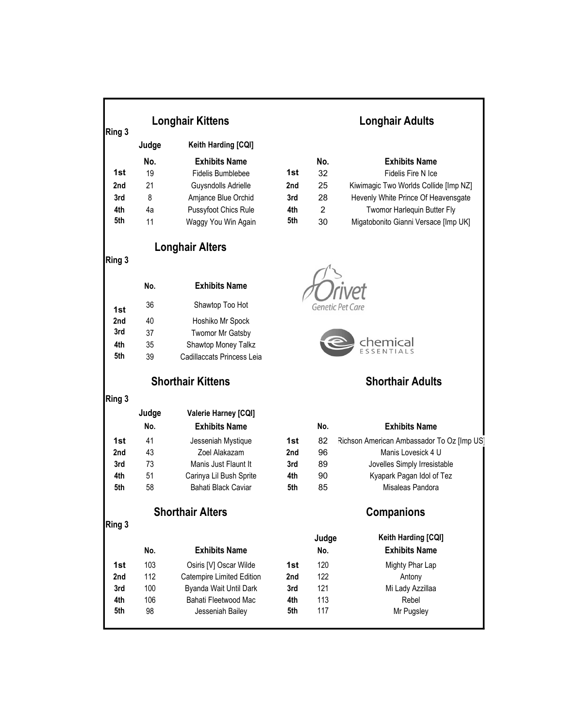| Ring 3 | <b>Longhair Kittens</b> |                             |     | <b>Longhair Adults</b> |                                            |  |  |
|--------|-------------------------|-----------------------------|-----|------------------------|--------------------------------------------|--|--|
|        | Judge                   | Keith Harding [CQI]         |     |                        |                                            |  |  |
|        | No.                     | <b>Exhibits Name</b>        |     | No.                    | <b>Exhibits Name</b>                       |  |  |
| 1st    | 19                      | Fidelis Bumblebee           | 1st | 32                     | Fidelis Fire N Ice                         |  |  |
| 2nd    | 21                      | Guysndolls Adrielle         | 2nd | 25                     | Kiwimagic Two Worlds Collide [Imp NZ]      |  |  |
| 3rd    | 8                       | Amjance Blue Orchid         | 3rd | 28                     | Hevenly White Prince Of Heavensgate        |  |  |
| 4th    | 4a                      | Pussyfoot Chics Rule        | 4th | $\overline{2}$         | Twomor Harlequin Butter Fly                |  |  |
| 5th    | 11                      | Waggy You Win Again         | 5th | 30                     | Migatobonito Gianni Versace [Imp UK]       |  |  |
|        |                         |                             |     |                        |                                            |  |  |
|        |                         | <b>Longhair Alters</b>      |     |                        |                                            |  |  |
| Ring 3 |                         |                             |     |                        |                                            |  |  |
|        | No.                     | <b>Exhibits Name</b>        |     |                        |                                            |  |  |
| 1st    | 36                      | Shawtop Too Hot             |     |                        | Genetic Pet Care                           |  |  |
| 2nd    | 40                      | Hoshiko Mr Spock            |     |                        |                                            |  |  |
| 3rd    | 37                      | Twomor Mr Gatsby            |     |                        |                                            |  |  |
| 4th    | 35                      | Shawtop Money Talkz         |     |                        | cher                                       |  |  |
| 5th    | 39                      | Cadillaccats Princess Leia  |     |                        |                                            |  |  |
|        |                         | <b>Shorthair Kittens</b>    |     |                        | <b>Shorthair Adults</b>                    |  |  |
| Ring 3 |                         |                             |     |                        |                                            |  |  |
|        | Judge                   | <b>Valerie Harney [CQI]</b> |     |                        |                                            |  |  |
|        | No.                     | <b>Exhibits Name</b>        |     | No.                    | <b>Exhibits Name</b>                       |  |  |
| 1st    | 41                      | Jesseniah Mystique          | 1st | 82                     | Richson American Ambassador To Oz [Imp US] |  |  |
| 2nd    | 43                      | Zoel Alakazam               | 2nd | 96                     | Manis Lovesick 4 U                         |  |  |
| 3rd    | 73                      | Manis Just Flaunt It        | 3rd | 89                     | Jovelles Simply Irresistable               |  |  |
| 4th    | 51                      | Carinya Lil Bush Sprite     | 4th | 90                     | Kyapark Pagan Idol of Tez                  |  |  |
| 5th    | 58                      | Bahati Black Caviar         | 5th | 85                     | Misaleas Pandora                           |  |  |
|        |                         | <b>Shorthair Alters</b>     |     |                        | <b>Companions</b>                          |  |  |
| Ring 3 |                         |                             |     |                        |                                            |  |  |
|        |                         |                             |     | Judge                  | Keith Harding [CQI]                        |  |  |
|        | No.                     | <b>Exhibits Name</b>        |     | No.                    | <b>Exhibits Name</b>                       |  |  |
| 1st    | 103                     | Osiris [V] Oscar Wilde      | 1st | 120                    | Mighty Phar Lap                            |  |  |
| 2nd    | 112                     | Catempire Limited Edition   | 2nd | 122                    | Antony                                     |  |  |
| 3rd    | 100                     | Byanda Wait Until Dark      | 3rd | 121                    | Mi Lady Azzillaa                           |  |  |
| 4th    | 106                     | Bahati Fleetwood Mac        | 4th | 113                    | Rebel                                      |  |  |
| 5th    | 98                      | Jesseniah Bailey            | 5th | 117                    | Mr Pugsley                                 |  |  |
|        |                         |                             |     |                        |                                            |  |  |